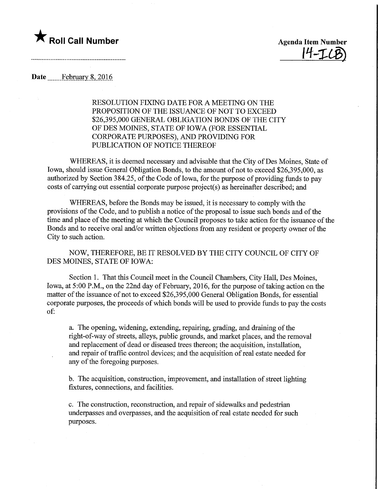

14-ILB)

Date ........Febmary.8,.2016

RESOLUTION FIXING DATE FOR A MEETING ON THE PROPOSITION OF THE ISSUANCE OF NOT TO EXCEED \$26,395,000 GENERAL OBLIGATION BONDS OF THE CITY OF DES MOINES, STATE OF IOWA (FOR ESSENTIAL CORPORATE PURPOSES), AND PROVIDING FOR PUBLICATION OF NOTICE THEREOF

WHEREAS, it is deemed necessary and advisable that the City of Des Moines, State of Iowa, should issue General Obligation Bonds, to the amount of not to exceed \$26,395,000, as authorized by Section 384.25, of the Code of Iowa, for the purpose of providing funds to pay costs of carrying out essential corporate purpose project(s) as hereinafter described; and

WHEREAS, before the Bonds may be issued, it is necessary to comply with the provisions of the Code, and to publish a notice of the proposal to issue such bonds and of the time and place of the meeting at which the Council proposes to take action for the issuance of the Bonds and to receive oral and/or written objections from any resident or property owner of the City to such action.

NOW, THEREFORE, BE IT RESOLVED BY THE CITY COUNCIL OF CITY OF DES MOINES, STATE OF IOWA:

Section 1. That this Council meet in the Council Chambers, City Hall, Des Moines, Iowa, at 5:00 P.M., on the 22nd day of February, 2016, for the purpose of taking action on the matter of the issuance of not to exceed \$26,395,000 General Obligation Bonds, for essential corporate purposes, the proceeds of which bonds will be used to provide funds to pay the costs of:

a. The opening, widening, extending, repairing, grading, and draining of the right-of-way of streets, alleys, public grounds, and market places, and the removal and replacement of dead or diseased trees thereon; the acquisition, installation, and repair of traffic control devices; and the acquisition of real estate needed for any of the foregoing purposes.

b. The acquisition, construction, improvement, and installation of street lighting fixtures, connections, and facilities.

c. The construction, reconstruction, and repair of sidewalks and pedestrian underpasses and overpasses, and the acquisition of real estate needed for such purposes.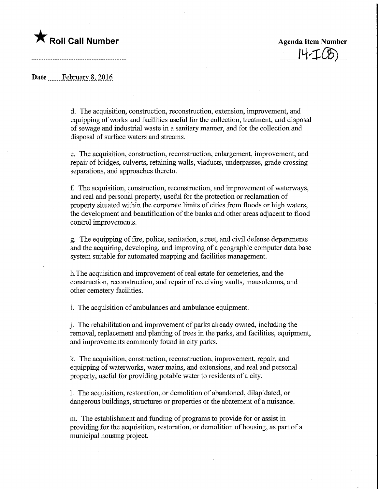### **The Call Number Agent Agenda Item Number** Agenda Item Number

 $I4I$ 

Date February 8, 2016

d. The acquisition, construction, reconstruction, extension, improvement, and equipping of works and facilities useful for the collection, treatment, and disposal of sewage and industrial waste in a sanitary manner, and for the collection and disposal of surface waters and streams.

e. The acquisition, construction, reconstruction, enlargement, improvement, and repair of bridges, culverts, retaining walls, viaducts, underpasses, grade crossing separations, and approaches thereto.

f. The acquisition, construction, reconstruction, and improvement of waterways, and real and personal property, useful for the protection or reclamation of property situated within the corporate limits of cities from floods or high waters, the development and beautification of the banks and other areas adjacent to flood control improvements.

g. The equipping of fire, police, sanitation, street, and civil defense departments and the acquiring, developing, and improving of a geographic computer data base system suitable for automated mapping and facilities management.

h. The acquisition and improvement of real estate for cemeteries, and the construction, reconstruction, and repair of receiving vaults, mausoleums, and other cemetery facilities.

i. The acquisition of ambulances and ambulance equipment.

j. The rehabilitation and improvement of parks already owned, including the removal, replacement and planting of trees in the parks, and facilities, equipment, and improvements commonly found in city parks.

k. The acquisition, construction, reconstruction, improvement, repair, and equipping of waterworks, water mains, and extensions, and real and personal property, useful for providing potable water to residents of a city.

1. The acquisition, restoration, or demolition of abandoned, dilapidated, or dangerous buildings, structures or properties or the abatement of a nuisance.

m. The establishment and funding of programs to provide for or assist in providing for the acquisition, restoration, or demolition of housing, as part of a municipal housing project.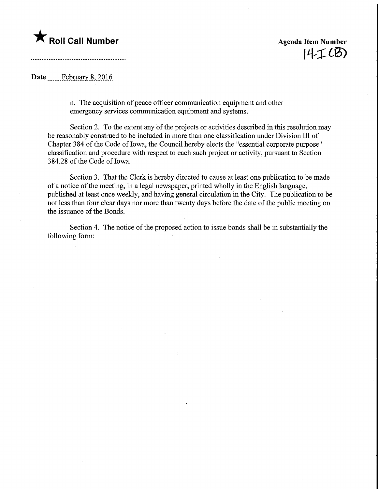## **The Roll Call Number Agents Collection** Agenda Item Number

 $14$ T $(B)$ 

Date ............<u>February 8, 2016</u>

n. The acquisition of peace officer communication equipment and other emergency services communication equipment and systems.

Section 2. To the extent any of the projects or activities described in this resolution may be reasonably construed to be included in more than one classification under Division III of Chapter 384 of the Code of Iowa, the Council hereby elects the "essential corporate purpose" classification and procedure with respect to each such project or activity, pursuant to Section 384.28 of the Code of Iowa.

Section 3. That the Clerk is hereby directed to cause at least one publication to be made of a notice of the meeting, in a legal newspaper, printed wholly in the English language, published at least once weekly, and having general circulation in the City. The publication to be not less than four clear days nor more than twenty days before the date of the public meeting on the issuance of the Bonds.

Section 4. The notice of the proposed action to issue bonds shall be in substantially the following form: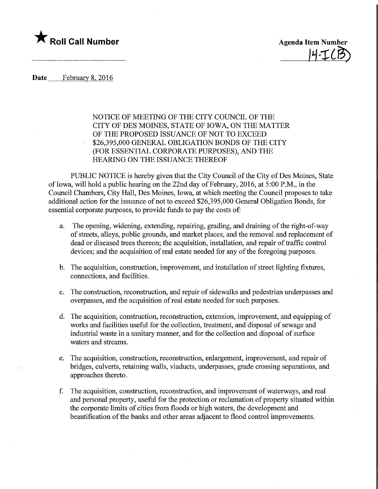### **The Roll Call Number Agents Contained Agents Item Number**

14-ICB)

Date ........ February 8, 2016

#### NOTICE OF MEETING OF THE CITY COUNCIL OF THE CITY OF DES MOINES, STATE OF IOWA, ON THE MATTER OF THE PROPOSED ISSUANCE OF NOT TO EXCEED \$26,395,000 GENERAL OBLIGATION BONDS OF THE CITY (FOR ESSENTIAL CORPORATE PURPOSES), AND THE HEARING ON THE ISSUANCE THEREOF

PUBLIC NOTICE is hereby given that the City Council of the City of Des Moines, State of Iowa, will hold a public hearing on the 22nd day of February, 2016, at 5:00 P.M., in the Council Chambers, City Hall, Des Moines, Iowa, at which meeting the Council proposes to take additional action for the issuance of not to exceed \$26,395,000 General Obligation Bonds, for essential corporate purposes, to provide funds to pay the costs of:

- a. The opening, widening, extending, repairing, grading, and draining of the right-of-way of streets, alleys, public grounds, and market places, and the removal and replacement of dead or diseased trees thereon; the acquisition, installation, and repair of traffic control devices; and the acquisition of real estate needed for any of the foregoing purposes.
- b. The acquisition, construction, improvement, and installation of street lighting fixtures, connections, and facilities.
- c. The construction, reconstruction, and repair of sidewalks and pedestrian underpasses and overpasses, and the acquisition of real estate needed for such purposes.
- d. The acquisition, construction, reconstruction, extension, improvement, and equipping of works and facilities useful for the collection, treatment, and disposal of sewage and industrial waste in a sanitary manner, and for the collection and disposal of surface waters and streams.
- e. The acquisition, construction, reconstruction, enlargement, improvement, and repair of bridges, culverts, retaining walls, viaducts, underpasses, grade crossing separations, and approaches thereto.
- f. The acquisition, construction, reconstruction, and improvement of waterways, and real and personal property, useful for the protection or reclamation of property situated within the corporate limits of cities from floods or high waters, the development and beautification of the banks and other areas adjacent to flood control improvements.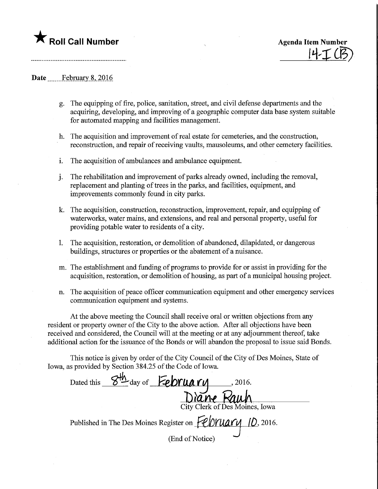# **The Call Number Agents Agents Item Number** Agenda Item Number

 $14E(B)$ 

#### Date ........Febmary.8,.2016

- g. The equipping of fire, police, sanitation, street, and civil defense departments and the acquiring, developing, and improving of a geographic computer data base system suitable for automated mapping and facilities management.
- h. The acquisition and improvement of real estate for cemeteries, and the construction, reconstruction, and repair of receiving vaults, mausoleums, and other cemetery facilities.
- i. The acquisition of ambulances and ambulance equipment.
- j. The rehabilitation and improvement of parks already owned, including the removal, replacement and planting of trees in the parks, and facilities, equipment, and improvements commonly found in city parks.
- k. The acquisition, construction, reconstruction, improvement, repair, and equipping of waterworks, water mains, and extensions, and real and personal property, useful for providing potable water to residents of a city.
- 1. The acquisition, restoration, or demolition of abandoned, dilapidated, or dangerous buildings, structures or properties or the abatement of a nuisance.
- m. The establishment and funding of programs to provide for or assist in providing for the acquisition, restoration, or demolition of housing, as part of a municipal housing project.
- n. The acquisition of peace officer communication equipment and other emergency services communication equipment and systems.

At the above meeting the Council shall receive oral or written objections from any resident or property owner of the City to the above action. After all objections have been received and considered, the Council will at the meeting or at any adjournment thereof, take additional action for the issuance of the Bonds or will abandon the proposal to issue said Bonds.

This notice is given by order of the City Council of the City of Des Moines, State of Iowa, as provided by Section 384.25 of the Code of Iowa.

Dated this  $\frac{8\mu}{\mu}$ day of February . 2016. Diane Rauh City Clerk of Des Moines, Iowa Published in The Des Moines Register on February 1D, 2016. (End of Notice)